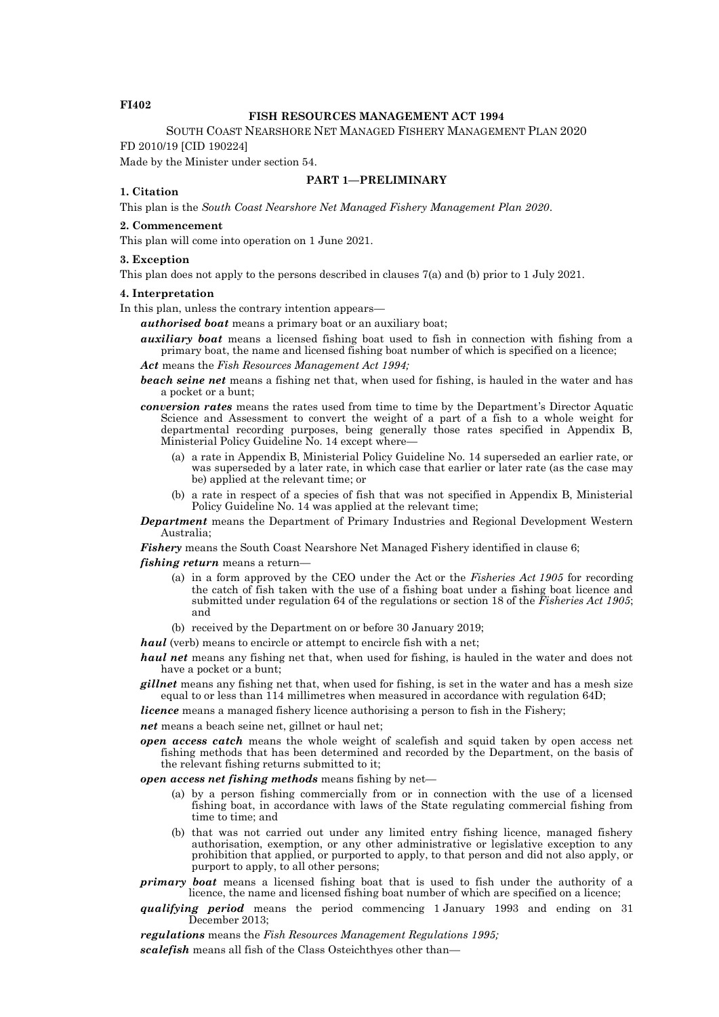## **FI402**

## **FISH RESOURCES MANAGEMENT ACT 1994**

SOUTH COAST NEARSHORE NET MANAGED FISHERY MANAGEMENT PLAN 2020 FD 2010/19 [CID 190224]

Made by the Minister under section 54.

# **PART 1—PRELIMINARY**

## **1. Citation**

This plan is the *South Coast Nearshore Net Managed Fishery Management Plan 2020*.

#### **2. Commencement**

This plan will come into operation on 1 June 2021.

## **3. Exception**

This plan does not apply to the persons described in clauses 7(a) and (b) prior to 1 July 2021.

## **4. Interpretation**

In this plan, unless the contrary intention appears—

*authorised boat* means a primary boat or an auxiliary boat;

*auxiliary boat* means a licensed fishing boat used to fish in connection with fishing from a primary boat, the name and licensed fishing boat number of which is specified on a licence;

*Act* means the *Fish Resources Management Act 1994;*

- *beach seine net* means a fishing net that, when used for fishing, is hauled in the water and has a pocket or a bunt;
- *conversion rates* means the rates used from time to time by the Department's Director Aquatic Science and Assessment to convert the weight of a part of a fish to a whole weight for departmental recording purposes, being generally those rates specified in Appendix B, Ministerial Policy Guideline No. 14 except where—
	- (a) a rate in Appendix B, Ministerial Policy Guideline No. 14 superseded an earlier rate, or was superseded by a later rate, in which case that earlier or later rate (as the case may be) applied at the relevant time; or
	- (b) a rate in respect of a species of fish that was not specified in Appendix B, Ministerial Policy Guideline No. 14 was applied at the relevant time;

*Department* means the Department of Primary Industries and Regional Development Western Australia;

*Fishery* means the South Coast Nearshore Net Managed Fishery identified in clause 6;

*fishing return* means a return—

- (a) in a form approved by the CEO under the Act or the *Fisheries Act 1905* for recording the catch of fish taken with the use of a fishing boat under a fishing boat licence and submitted under regulation 64 of the regulations or section 18 of the *Fisheries Act 1905*; and
- (b) received by the Department on or before 30 January 2019;

*haul* (verb) means to encircle or attempt to encircle fish with a net;

*haul net* means any fishing net that, when used for fishing, is hauled in the water and does not have a pocket or a bunt;

*gillnet* means any fishing net that, when used for fishing, is set in the water and has a mesh size equal to or less than 114 millimetres when measured in accordance with regulation 64D;

*licence* means a managed fishery licence authorising a person to fish in the Fishery;

*net* means a beach seine net, gillnet or haul net;

*open access catch* means the whole weight of scalefish and squid taken by open access net fishing methods that has been determined and recorded by the Department, on the basis of the relevant fishing returns submitted to it;

*open access net fishing methods* means fishing by net—

- (a) by a person fishing commercially from or in connection with the use of a licensed fishing boat, in accordance with laws of the State regulating commercial fishing from time to time; and
- (b) that was not carried out under any limited entry fishing licence, managed fishery authorisation, exemption, or any other administrative or legislative exception to any prohibition that applied, or purported to apply, to that person and did not also apply, or purport to apply, to all other persons;
- *primary boat* means a licensed fishing boat that is used to fish under the authority of a licence, the name and licensed fishing boat number of which are specified on a licence;
- *qualifying period* means the period commencing 1 January 1993 and ending on 31 December 2013;

*regulations* means the *Fish Resources Management Regulations 1995; scalefish* means all fish of the Class Osteichthyes other than—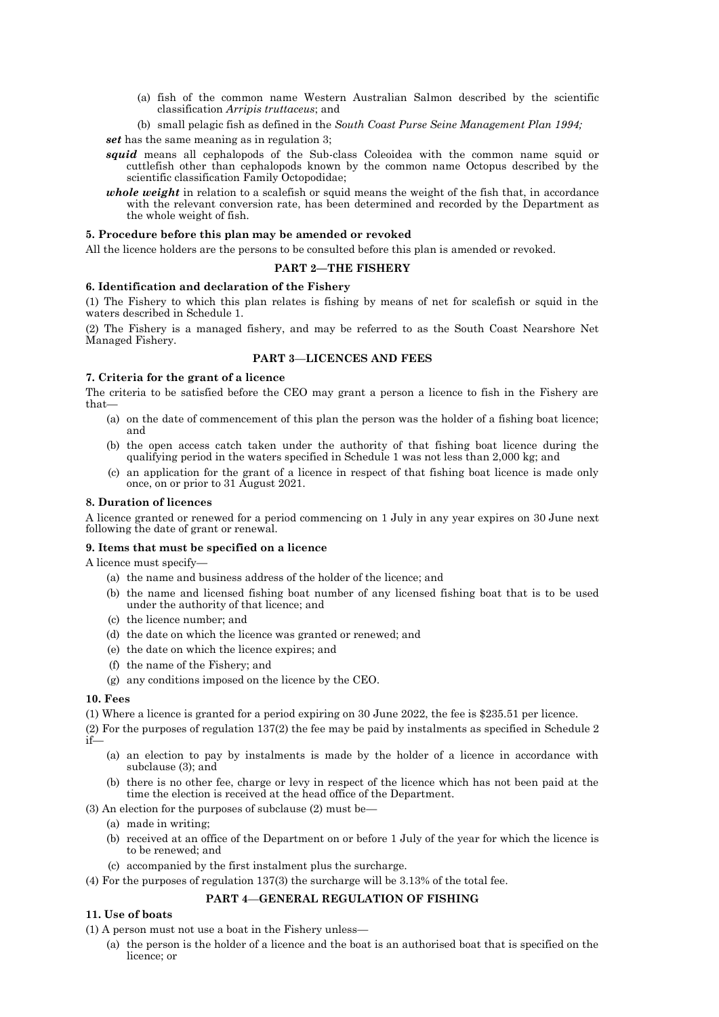- (a) fish of the common name Western Australian Salmon described by the scientific classification *Arripis truttaceus*; and
- (b) small pelagic fish as defined in the *South Coast Purse Seine Management Plan 1994;*

*set* has the same meaning as in regulation 3;

- *squid* means all cephalopods of the Sub-class Coleoidea with the common name squid or cuttlefish other than cephalopods known by the common name Octopus described by the scientific classification Family Octopodidae;
- *whole weight* in relation to a scalefish or squid means the weight of the fish that, in accordance with the relevant conversion rate, has been determined and recorded by the Department as the whole weight of fish.

## **5. Procedure before this plan may be amended or revoked**

All the licence holders are the persons to be consulted before this plan is amended or revoked.

### **PART 2—THE FISHERY**

### **6. Identification and declaration of the Fishery**

(1) The Fishery to which this plan relates is fishing by means of net for scalefish or squid in the waters described in Schedule 1.

(2) The Fishery is a managed fishery, and may be referred to as the South Coast Nearshore Net Managed Fishery.

## **PART 3**—**LICENCES AND FEES**

## **7. Criteria for the grant of a licence**

The criteria to be satisfied before the CEO may grant a person a licence to fish in the Fishery are that—

- (a) on the date of commencement of this plan the person was the holder of a fishing boat licence; and
- (b) the open access catch taken under the authority of that fishing boat licence during the qualifying period in the waters specified in Schedule 1 was not less than 2,000 kg; and
- (c) an application for the grant of a licence in respect of that fishing boat licence is made only once, on or prior to 31 August 2021.

### **8. Duration of licences**

A licence granted or renewed for a period commencing on 1 July in any year expires on 30 June next following the date of grant or renewal.

#### **9. Items that must be specified on a licence**

A licence must specify—

- (a) the name and business address of the holder of the licence; and
- (b) the name and licensed fishing boat number of any licensed fishing boat that is to be used under the authority of that licence; and
- (c) the licence number; and
- (d) the date on which the licence was granted or renewed; and
- (e) the date on which the licence expires; and
- (f) the name of the Fishery; and
- (g) any conditions imposed on the licence by the CEO.

## **10. Fees**

(1) Where a licence is granted for a period expiring on 30 June 2022, the fee is \$235.51 per licence.

(2) For the purposes of regulation 137(2) the fee may be paid by instalments as specified in Schedule 2 if—

- (a) an election to pay by instalments is made by the holder of a licence in accordance with subclause (3); and
- (b) there is no other fee, charge or levy in respect of the licence which has not been paid at the time the election is received at the head office of the Department.
- (3) An election for the purposes of subclause (2) must be—
	- (a) made in writing;
	- (b) received at an office of the Department on or before 1 July of the year for which the licence is to be renewed; and
	- (c) accompanied by the first instalment plus the surcharge.
- (4) For the purposes of regulation 137(3) the surcharge will be 3.13% of the total fee.

## **PART 4**—**GENERAL REGULATION OF FISHING**

## **11. Use of boats**

(1) A person must not use a boat in the Fishery unless—

(a) the person is the holder of a licence and the boat is an authorised boat that is specified on the licence; or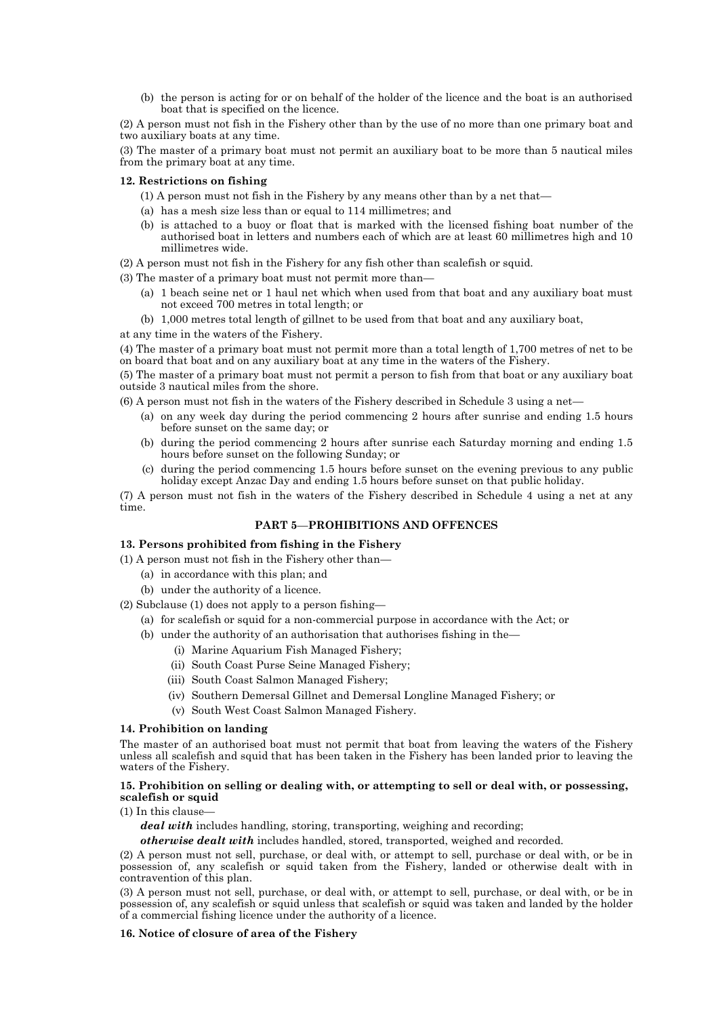(b) the person is acting for or on behalf of the holder of the licence and the boat is an authorised boat that is specified on the licence.

(2) A person must not fish in the Fishery other than by the use of no more than one primary boat and two auxiliary boats at any time.

(3) The master of a primary boat must not permit an auxiliary boat to be more than 5 nautical miles from the primary boat at any time.

## **12. Restrictions on fishing**

- (1) A person must not fish in the Fishery by any means other than by a net that—
- (a) has a mesh size less than or equal to 114 millimetres; and
- (b) is attached to a buoy or float that is marked with the licensed fishing boat number of the authorised boat in letters and numbers each of which are at least 60 millimetres high and 10 millimetres wide.
- (2) A person must not fish in the Fishery for any fish other than scalefish or squid.

(3) The master of a primary boat must not permit more than—

- (a) 1 beach seine net or 1 haul net which when used from that boat and any auxiliary boat must not exceed 700 metres in total length; or
- (b) 1,000 metres total length of gillnet to be used from that boat and any auxiliary boat,
- at any time in the waters of the Fishery.

(4) The master of a primary boat must not permit more than a total length of 1,700 metres of net to be on board that boat and on any auxiliary boat at any time in the waters of the Fishery.

(5) The master of a primary boat must not permit a person to fish from that boat or any auxiliary boat outside 3 nautical miles from the shore.

(6) A person must not fish in the waters of the Fishery described in Schedule 3 using a net—

- (a) on any week day during the period commencing 2 hours after sunrise and ending 1.5 hours before sunset on the same day; or
- (b) during the period commencing 2 hours after sunrise each Saturday morning and ending 1.5 hours before sunset on the following Sunday; or
- (c) during the period commencing 1.5 hours before sunset on the evening previous to any public holiday except Anzac Day and ending 1.5 hours before sunset on that public holiday.

(7) A person must not fish in the waters of the Fishery described in Schedule 4 using a net at any time.

## **PART 5**—**PROHIBITIONS AND OFFENCES**

#### **13. Persons prohibited from fishing in the Fishery**

(1) A person must not fish in the Fishery other than—

- (a) in accordance with this plan; and
- (b) under the authority of a licence.
- (2) Subclause (1) does not apply to a person fishing—
	- (a) for scalefish or squid for a non-commercial purpose in accordance with the Act; or
	- (b) under the authority of an authorisation that authorises fishing in the—
		- (i) Marine Aquarium Fish Managed Fishery;
		- (ii) South Coast Purse Seine Managed Fishery;
		- (iii) South Coast Salmon Managed Fishery;
		- (iv) Southern Demersal Gillnet and Demersal Longline Managed Fishery; or
		- (v) South West Coast Salmon Managed Fishery.

#### **14. Prohibition on landing**

The master of an authorised boat must not permit that boat from leaving the waters of the Fishery unless all scalefish and squid that has been taken in the Fishery has been landed prior to leaving the waters of the Fishery.

## **15. Prohibition on selling or dealing with, or attempting to sell or deal with, or possessing, scalefish or squid**

 $(1)$  In this clause

deal with includes handling, storing, transporting, weighing and recording;

*otherwise dealt with* includes handled, stored, transported, weighed and recorded.

(2) A person must not sell, purchase, or deal with, or attempt to sell, purchase or deal with, or be in possession of, any scalefish or squid taken from the Fishery, landed or otherwise dealt with in contravention of this plan.

(3) A person must not sell, purchase, or deal with, or attempt to sell, purchase, or deal with, or be in possession of, any scalefish or squid unless that scalefish or squid was taken and landed by the holder of a commercial fishing licence under the authority of a licence.

## **16. Notice of closure of area of the Fishery**